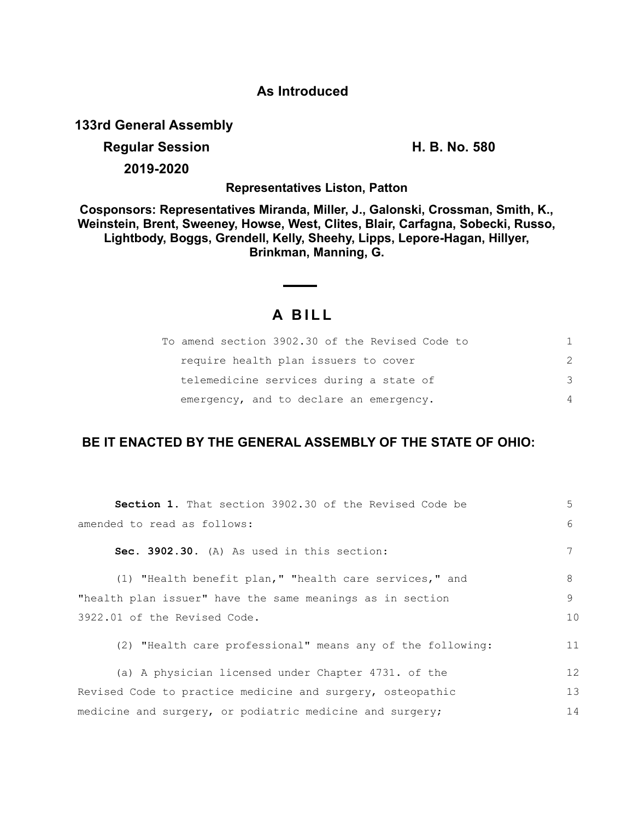## **As Introduced**

**133rd General Assembly**

## **Regular Session H. B. No. 580 2019-2020**

**Representatives Liston, Patton**

**Cosponsors: Representatives Miranda, Miller, J., Galonski, Crossman, Smith, K., Weinstein, Brent, Sweeney, Howse, West, Clites, Blair, Carfagna, Sobecki, Russo, Lightbody, Boggs, Grendell, Kelly, Sheehy, Lipps, Lepore-Hagan, Hillyer, Brinkman, Manning, G.**

## **A B I L L**

| To amend section 3902.30 of the Revised Code to |                |
|-------------------------------------------------|----------------|
| require health plan issuers to cover            | $\mathcal{L}$  |
| telemedicine services during a state of         | 3              |
| emergency, and to declare an emergency.         | $\overline{4}$ |

## **BE IT ENACTED BY THE GENERAL ASSEMBLY OF THE STATE OF OHIO:**

| Section 1. That section 3902.30 of the Revised Code be     | 5  |
|------------------------------------------------------------|----|
| amended to read as follows:                                | 6  |
| Sec. 3902.30. (A) As used in this section:                 | 7  |
| (1) "Health benefit plan," "health care services," and     | 8  |
| "health plan issuer" have the same meanings as in section  | 9  |
| 3922.01 of the Revised Code.                               | 10 |
| (2) "Health care professional" means any of the following: | 11 |
| (a) A physician licensed under Chapter 4731. of the        | 12 |
| Revised Code to practice medicine and surgery, osteopathic | 13 |
| medicine and surgery, or podiatric medicine and surgery;   | 14 |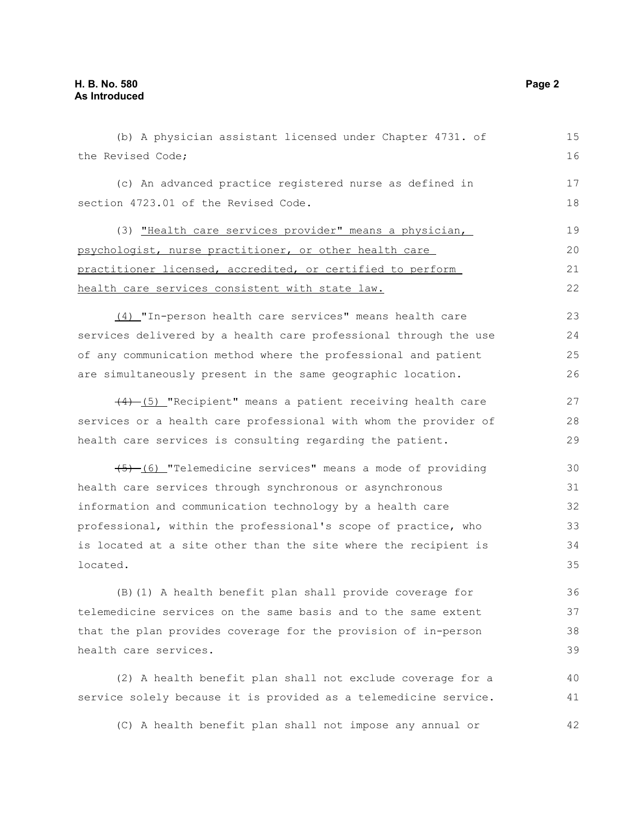| (b) A physician assistant licensed under Chapter 4731. of        | 15 |
|------------------------------------------------------------------|----|
| the Revised Code;                                                | 16 |
| (c) An advanced practice registered nurse as defined in          | 17 |
| section 4723.01 of the Revised Code.                             |    |
| (3) "Health care services provider" means a physician,           | 19 |
| psychologist, nurse practitioner, or other health care           | 20 |
| practitioner licensed, accredited, or certified to perform       | 21 |
| health care services consistent with state law.                  | 22 |
| (4) "In-person health care services" means health care           | 23 |
| services delivered by a health care professional through the use | 24 |
| of any communication method where the professional and patient   | 25 |
| are simultaneously present in the same geographic location.      | 26 |
| (4) (5) "Recipient" means a patient receiving health care        | 27 |
| services or a health care professional with whom the provider of | 28 |
| health care services is consulting regarding the patient.        | 29 |
| (5) (6) "Telemedicine services" means a mode of providing        | 30 |
| health care services through synchronous or asynchronous         | 31 |
| information and communication technology by a health care        | 32 |
| professional, within the professional's scope of practice, who   | 33 |
| is located at a site other than the site where the recipient is  | 34 |
| located.                                                         | 35 |
| (B) (1) A health benefit plan shall provide coverage for         | 36 |
| telemedicine services on the same basis and to the same extent   | 37 |
| that the plan provides coverage for the provision of in-person   |    |
| health care services.                                            | 39 |
| (2) A health benefit plan shall not exclude coverage for a       | 40 |
| service solely because it is provided as a telemedicine service. | 41 |

(C) A health benefit plan shall not impose any annual or

42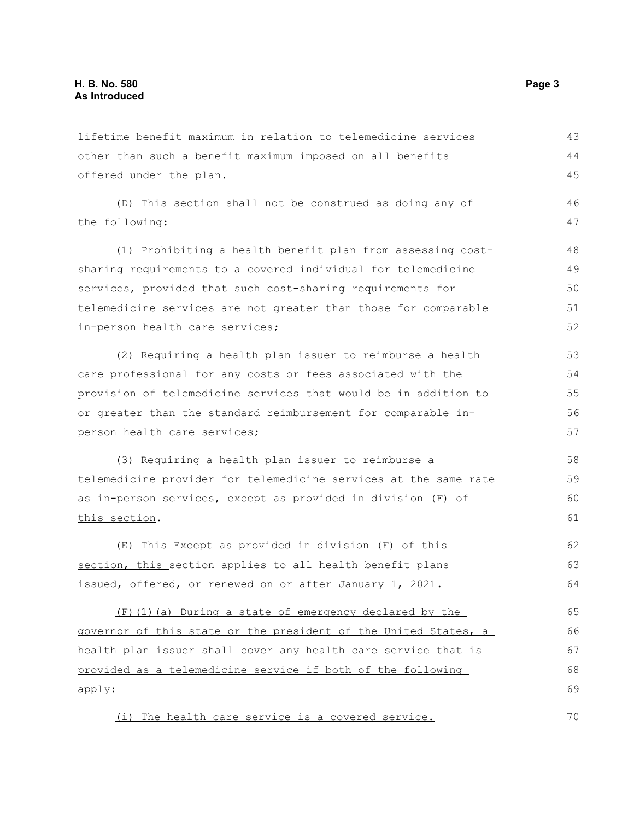lifetime benefit maximum in relation to telemedicine services other than such a benefit maximum imposed on all benefits offered under the plan. (D) This section shall not be construed as doing any of the following: (1) Prohibiting a health benefit plan from assessing costsharing requirements to a covered individual for telemedicine services, provided that such cost-sharing requirements for telemedicine services are not greater than those for comparable in-person health care services; (2) Requiring a health plan issuer to reimburse a health care professional for any costs or fees associated with the provision of telemedicine services that would be in addition to or greater than the standard reimbursement for comparable inperson health care services; (3) Requiring a health plan issuer to reimburse a telemedicine provider for telemedicine services at the same rate as in-person services, except as provided in division (F) of this section. (E) This Except as provided in division (F) of this section, this section applies to all health benefit plans issued, offered, or renewed on or after January 1, 2021. (F)(1)(a) During a state of emergency declared by the governor of this state or the president of the United States, a health plan issuer shall cover any health care service that is provided as a telemedicine service if both of the following apply: 43 44 45 46 47 48 49 50 51 52 53 54 55 56 57 58 59  $60$ 61 62 63 64 65 66 67 68 69

(i) The health care service is a covered service.

70